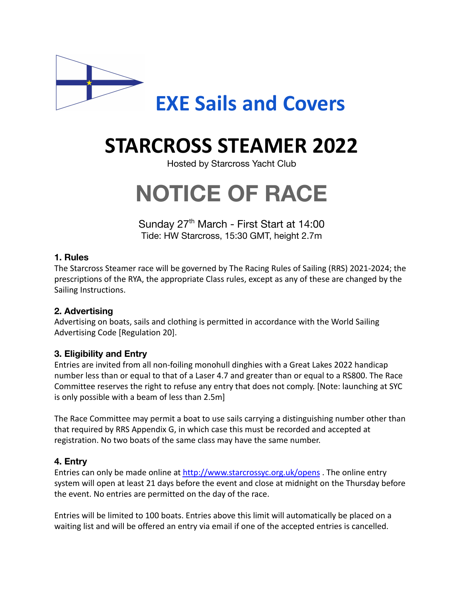

# **STARCROSS STEAMER 2022**

Hosted by Starcross Yacht Club

# **NOTICE OF RACE**

Sunday 27<sup>th</sup> March - First Start at 14:00 Tide: HW Starcross, 15:30 GMT, height 2.7m

# **1. Rules**

The Starcross Steamer race will be governed by The Racing Rules of Sailing (RRS) 2021-2024; the prescriptions of the RYA, the appropriate Class rules, except as any of these are changed by the Sailing Instructions.

# **2. Advertising**

Advertising on boats, sails and clothing is permitted in accordance with the World Sailing Advertising Code [Regulation 20].

# **3. Eligibility and Entry**

Entries are invited from all non-foiling monohull dinghies with a Great Lakes 2022 handicap number less than or equal to that of a Laser 4.7 and greater than or equal to a RS800. The Race Committee reserves the right to refuse any entry that does not comply. [Note: launching at SYC is only possible with a beam of less than 2.5m]

The Race Committee may permit a boat to use sails carrying a distinguishing number other than that required by RRS Appendix G, in which case this must be recorded and accepted at registration. No two boats of the same class may have the same number.

# **4. Entry**

Entries can only be made online at <http://www.starcrossyc.org.uk/opens> . The online entry system will open at least 21 days before the event and close at midnight on the Thursday before the event. No entries are permitted on the day of the race.

Entries will be limited to 100 boats. Entries above this limit will automatically be placed on a waiting list and will be offered an entry via email if one of the accepted entries is cancelled.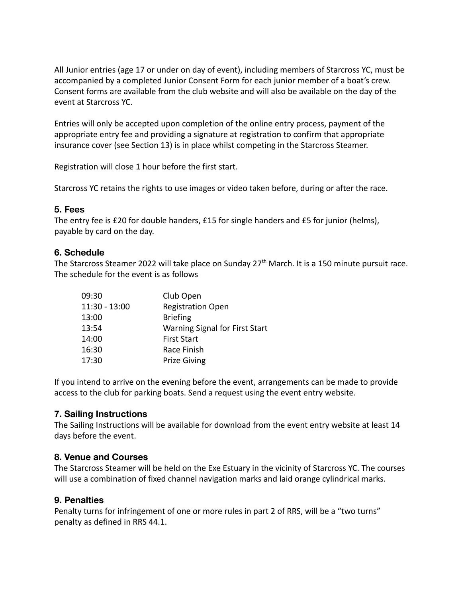All Junior entries (age 17 or under on day of event), including members of Starcross YC, must be accompanied by a completed Junior Consent Form for each junior member of a boat's crew. Consent forms are available from the club website and will also be available on the day of the event at Starcross YC.

Entries will only be accepted upon completion of the online entry process, payment of the appropriate entry fee and providing a signature at registration to confirm that appropriate insurance cover (see Section 13) is in place whilst competing in the Starcross Steamer.

Registration will close 1 hour before the first start.

Starcross YC retains the rights to use images or video taken before, during or after the race.

#### **5. Fees**

The entry fee is £20 for double handers, £15 for single handers and £5 for junior (helms), payable by card on the day.

#### **6. Schedule**

The Starcross Steamer 2022 will take place on Sunday 27<sup>th</sup> March. It is a 150 minute pursuit race. The schedule for the event is as follows

| 09:30           | Club Open                             |
|-----------------|---------------------------------------|
| $11:30 - 13:00$ | <b>Registration Open</b>              |
| 13:00           | <b>Briefing</b>                       |
| 13:54           | <b>Warning Signal for First Start</b> |
| 14:00           | <b>First Start</b>                    |
| 16:30           | Race Finish                           |
| 17:30           | <b>Prize Giving</b>                   |

If you intend to arrive on the evening before the event, arrangements can be made to provide access to the club for parking boats. Send a request using the event entry website.

#### **7. Sailing Instructions**

The Sailing Instructions will be available for download from the event entry website at least 14 days before the event.

#### **8. Venue and Courses**

The Starcross Steamer will be held on the Exe Estuary in the vicinity of Starcross YC. The courses will use a combination of fixed channel navigation marks and laid orange cylindrical marks.

#### **9. Penalties**

Penalty turns for infringement of one or more rules in part 2 of RRS, will be a "two turns" penalty as defined in RRS 44.1.